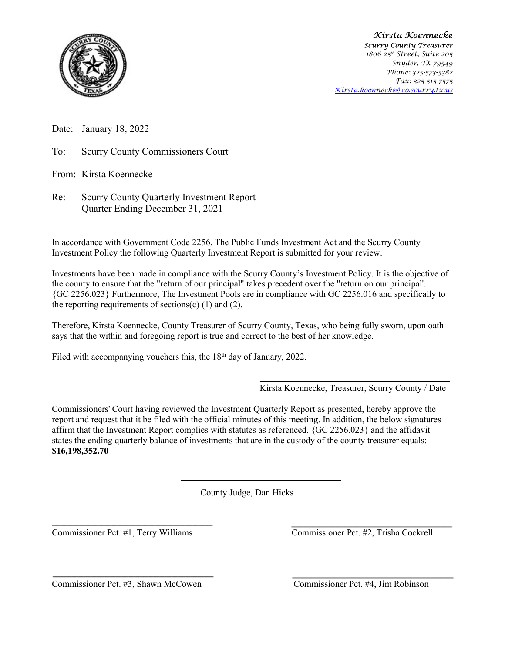

 Kirsta Koennecke Scurry County Treasurer 1806 25<sup>th</sup> Street, Suite 205 Snyder, TX 79549 Phone: 325-573-5382 Fax: 325-515-7575 Kirsta.koennecke@co.scurry.tx.us

Date: January 18, 2022

To: Scurry County Commissioners Court

From: Kirsta Koennecke

Re: Scurry County Quarterly Investment Report Quarter Ending December 31, 2021

In accordance with Government Code 2256, The Public Funds Investment Act and the Scurry County Investment Policy the following Quarterly Investment Report is submitted for your review.

Investments have been made in compliance with the Scurry County's Investment Policy. It is the objective of the county to ensure that the "return of our principal" takes precedent over the "return on our principal'. {GC 2256.023} Furthermore, The Investment Pools are in compliance with GC 2256.016 and specifically to the reporting requirements of sections(c)  $(1)$  and  $(2)$ .

Therefore, Kirsta Koennecke, County Treasurer of Scurry County, Texas, who being fully sworn, upon oath says that the within and foregoing report is true and correct to the best of her knowledge.

Filed with accompanying vouchers this, the  $18<sup>th</sup>$  day of January, 2022.

Kirsta Koennecke, Treasurer, Scurry County / Date

Commissioners' Court having reviewed the Investment Quarterly Report as presented, hereby approve the report and request that it be filed with the official minutes of this meeting. In addition, the below signatures affirm that the Investment Report complies with statutes as referenced. {GC 2256.023} and the affidavit states the ending quarterly balance of investments that are in the custody of the county treasurer equals: \$16,198,352.70

County Judge, Dan Hicks

Commissioner Pct. #1, Terry Williams Commissioner Pct. #2, Trisha Cockrell

Commissioner Pct. #3, Shawn McCowen Commissioner Pct. #4, Jim Robinson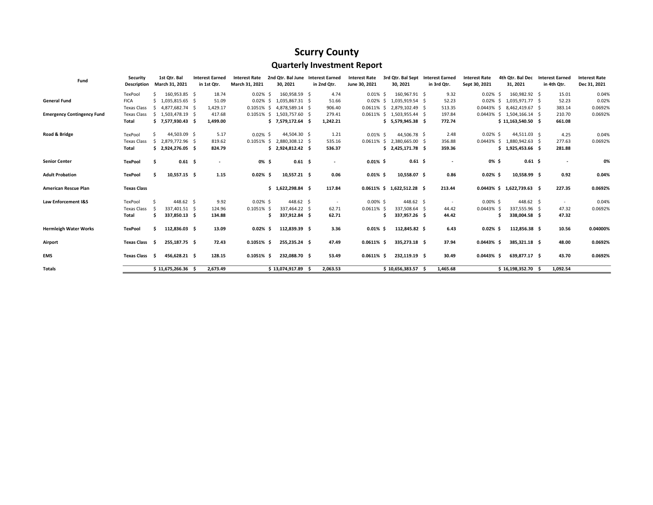## Scurry County

## Quarterly Investment Report

| Fund                              | Security           |     | 1st Qtr. Bal        | <b>Interest Earned</b> | <b>Interest Rate</b> | 2nd Qtr. Bal June Interest Earned |             | <b>Interest Rate</b> |    | 3rd Qtr. Bal Sept          | <b>Interest Earned</b>   | <b>Interest Rate</b> | 4th Otr. Bal Dec              | <b>Interest Earned</b> | <b>Interest Rate</b> |
|-----------------------------------|--------------------|-----|---------------------|------------------------|----------------------|-----------------------------------|-------------|----------------------|----|----------------------------|--------------------------|----------------------|-------------------------------|------------------------|----------------------|
|                                   | <b>Description</b> |     | March 31, 2021      | in 1st Qtr.            | March 31, 2021       | 30, 2021                          | in 2nd Qtr. | June 30, 2021        |    | 30, 2021                   | in 3rd Qtr.              | Sept 30, 2021        | 31, 2021                      | in 4th Qtr.            | Dec 31, 2021         |
|                                   | TexPool            |     | 160,953.85 \$       | 18.74                  | $0.02\%$ \$          | 160,958.59 \$                     | 4.74        | $0.01\%$ \$          |    | 160,967.91 \$              | 9.32                     | $0.02\%$ \$          | 160,982.92 \$                 | 15.01                  | 0.04%                |
| <b>General Fund</b>               | <b>FICA</b>        |     | $$1,035,815.65$ \$  | 51.09                  | $0.02\%$ \$          | 1,035,867.31 \$                   | 51.66       |                      |    | 0.02% \$ 1,035,919.54 \$   | 52.23                    | 0.02%                | $$1,035,971.77$ \$            | 52.23                  | 0.02%                |
|                                   | <b>Texas Class</b> | S.  | 4,877,682.74 \$     | 1,429.17               | $0.1051\%$ \$        | 4,878,589.14 \$                   | 906.40      |                      |    | 0.0611% \$ 2,879,102.49 \$ | 513.35                   |                      | 0.0443% \$ 8,462,419.67 \$    | 383.14                 | 0.0692%              |
| <b>Emergency Contingency Fund</b> | <b>Texas Class</b> |     | $$1,503,478.19$ \$  | 417.68                 |                      | 0.1051% \$ 1,503,757.60 \$        | 279.41      |                      |    | 0.0611% \$ 1,503,955.44 \$ | 197.84                   |                      | 0.0443% \$ 1,504,166.14 \$    | 210.70                 | 0.0692%              |
|                                   | Total              |     | $$7,577,930.43$ \$  | 1,499.00               |                      | $$7,579,172.64$ \$                | 1,242.21    |                      |    | $$5,579,945.38$ \$         | 772.74                   |                      | $$11,163,540.50$ \$           | 661.08                 |                      |
| Road & Bridge                     | TexPool            |     | 44,503.09 \$        | 5.17                   | $0.02\%$ \$          | 44,504.30 \$                      | 1.21        | $0.01\%$ \$          |    | 44,506.78 \$               | 2.48                     | $0.02\%$ \$          | 44,511.03 \$                  | 4.25                   | 0.04%                |
|                                   | <b>Texas Class</b> |     | \$ 2.879,772.96 \$  | 819.62                 |                      | 0.1051% \$ 2,880,308.12 \$        | 535.16      |                      |    | 0.0611% \$ 2,380,665.00 \$ | 356.88                   |                      | 0.0443% \$ 1.880.942.63 \$    | 277.63                 | 0.0692%              |
|                                   | Total              |     | $$2,924,276.05$ \$  | 824.79                 |                      | $$2,924,812.42$ \$                | 536.37      |                      |    | $$2,425,171.78$ \$         | 359.36                   |                      | $$1,925,453.66$ \$            | 281.88                 |                      |
| <b>Senior Center</b>              | <b>TexPool</b>     | Ŝ   | $0.61$ \$           | ٠                      | 0% \$                | $0.61 \quad $$                    | $\sim$      | $0.01\%$ \$          |    | $0.61 \;$ \$               | $\overline{\phantom{a}}$ | 0% \$                | $0.61 \; \text{S}$            | $\blacksquare$         | 0%                   |
| <b>Adult Probation</b>            | <b>TexPool</b>     |     | 10,557.15 \$        | 1.15                   | $0.02\%$ \$          | 10,557.21 \$                      | 0.06        | $0.01\%$ \$          |    | 10,558.07 \$               | 0.86                     | $0.02\%$ \$          | 10,558.99 \$                  | 0.92                   | 0.04%                |
| American Rescue Plan              | <b>Texas Class</b> |     |                     |                        |                      | \$1,622,298.84\$                  | 117.84      |                      |    | 0.0611% \$ 1,622,512.28 \$ | 213.44                   |                      | $0.0443\%$ \$ 1,622,739.63 \$ | 227.35                 | 0.0692%              |
| Law Enforcement I&S               | TexPool            |     | 448.62 \$           | 9.92                   | $0.02\%$ \$          | 448.62 \$                         |             | $0.00\%$ \$          |    | 448.62 \$                  | $\sim$                   | $0.00\%$ \$          | 448.62 \$                     | $\sim$                 | 0.04%                |
|                                   | <b>Texas Class</b> |     | 337.401.51 \$       | 124.96                 | 0.1051% \$           | 337.464.22 \$                     | 62.71       | $0.0611\%$ \$        |    | 337.508.64 \$              | 44.42                    | $0.0443\%$ \$        | 337.555.96 \$                 | 47.32                  | 0.0692%              |
|                                   | Total              | \$. | 337,850.13 \$       | 134.88                 |                      | 337,912.84 \$                     | 62.71       |                      | Ŝ. | 337,957.26 \$              | 44.42                    | Ŝ                    | 338,004.58 \$                 | 47.32                  |                      |
| <b>Hermleigh Water Works</b>      | <b>TexPool</b>     | s.  | 112,836.03 \$       | 13.09                  | $0.02\%$ \$          | 112.839.39 \$                     | 3.36        | $0.01\%$ \$          |    | 112,845.82 \$              | 6.43                     | $0.02\%$ \$          | 112,856.38 \$                 | 10.56                  | 0.04000%             |
| Airport                           | <b>Texas Class</b> | - S | 255,187.75 \$       | 72.43                  | $0.1051\%$ \$        | 255,235.24 \$                     | 47.49       | $0.0611\%$ \$        |    | 335,273.18 \$              | 37.94                    | $0.0443\%$ \$        | 385,321.18 \$                 | 48.00                  | 0.0692%              |
| <b>EMS</b>                        | Texas Class \$     |     | 456,628.21 \$       | 128.15                 | $0.1051\%$ \$        | 232,088.70 \$                     | 53.49       | $0.0611\%$ \$        |    | 232,119.19 \$              | 30.49                    | $0.0443\%$ \$        | 639,877.17 \$                 | 43.70                  | 0.0692%              |
| Totals                            |                    |     | $$11,675,266.36$ \$ | 2,673.49               |                      | $$13,074,917.89$ \$               | 2,063.53    |                      |    | $$10,656,383.57$ \$        | 1,465.68                 |                      | $$16,198,352.70$ \$           | 1,092.54               |                      |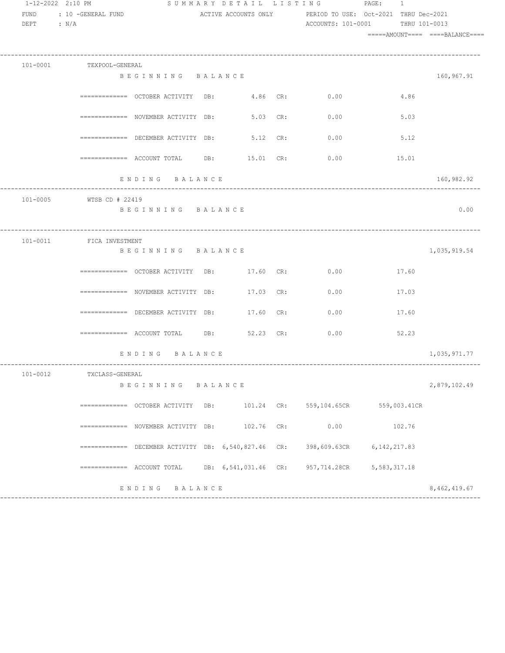| 1-12-2022 2:10 PM |                          |                                                                                   |                      |     | SUMMARY DETAIL LISTING PAGE: 1                             |                |      |               |
|-------------------|--------------------------|-----------------------------------------------------------------------------------|----------------------|-----|------------------------------------------------------------|----------------|------|---------------|
| <b>FUND</b>       | : 10 -GENERAL FUND       |                                                                                   |                      |     | ACTIVE ACCOUNTS ONLY PERIOD TO USE: Oct-2021 THRU Dec-2021 |                |      |               |
| DEPT : $N/A$      |                          |                                                                                   |                      |     | ACCOUNTS: 101-0001                                         |                |      | THRU 101-0013 |
|                   |                          |                                                                                   |                      |     |                                                            |                |      |               |
|                   |                          |                                                                                   |                      |     |                                                            |                |      |               |
|                   | 101-0001 TEXPOOL-GENERAL |                                                                                   |                      |     |                                                            |                |      |               |
|                   |                          | BEGINNING BALANCE                                                                 |                      |     |                                                            |                |      | 160,967.91    |
|                   |                          | $\overline{\phantom{X}}$ ============= OCTOBER ACTIVITY DB: $\phantom{X}4.86$ CR: |                      |     | 0.00                                                       |                | 4.86 |               |
|                   |                          | ============= NOVEMBER ACTIVITY DB: 5.03 CR:                                      |                      |     | 0.00                                                       |                | 5.03 |               |
|                   |                          | ============= DECEMBER ACTIVITY DB: 5.12 CR:                                      |                      |     | 0.00                                                       |                | 5.12 |               |
|                   |                          | $\texttt{-----}$ ============= ACCOUNT TOTAL DB: $\texttt{DB}$ : 15.01 CR:        |                      |     | 0.00                                                       | 15.01          |      |               |
|                   |                          | ENDING BALANCE                                                                    |                      |     |                                                            |                |      | 160,982.92    |
|                   | 101-0005 WTSB CD # 22419 |                                                                                   |                      |     |                                                            |                |      |               |
|                   |                          | BEGINNING BALANCE                                                                 |                      |     |                                                            |                |      | 0.00          |
|                   |                          |                                                                                   |                      |     |                                                            |                |      |               |
|                   | 101-0011 FICA INVESTMENT |                                                                                   |                      |     |                                                            |                |      |               |
|                   |                          | BEGINNING BALANCE                                                                 |                      |     |                                                            |                |      | 1,035,919.54  |
|                   |                          | ============ OCTOBER ACTIVITY DB: 17.60 CR: 0.00                                  |                      |     |                                                            | 17.60          |      |               |
|                   |                          | $\texttt{-----} \texttt{-----}$ NOVEMBER ACTIVITY DB: $17.03 \text{ CR}$ :        |                      |     | 0.00                                                       | 17.03          |      |               |
|                   |                          | ============ DECEMBER ACTIVITY DB:                                                | 17.60 CR:            |     | 0.00                                                       | 17.60          |      |               |
|                   |                          | $\texttt{-----}$ ============= ACCOUNT TOTAL DB: 52.23 CR:                        |                      |     | 0.00                                                       | 52.23          |      |               |
|                   |                          | ENDING BALANCE                                                                    |                      |     |                                                            |                |      | 1,035,971.77  |
| $101 - 0012$      | TXCLASS-GENERAL          |                                                                                   |                      |     |                                                            |                |      |               |
|                   |                          | BEGINNING BALANCE                                                                 |                      |     |                                                            |                |      | 2,879,102.49  |
|                   |                          | ============ OCTOBER ACTIVITY DB:                                                 | 101.24 CR:           |     | 559,104.65CR 559,003.41CR                                  |                |      |               |
|                   |                          | ============ NOVEMBER ACTIVITY DB:                                                | 102.76               | CR: | 0.00                                                       | 102.76         |      |               |
|                   |                          | ============ DECEMBER ACTIVITY DB: 6,540,827.46 CR:                               |                      |     | 398,609.63CR                                               | 6, 142, 217.83 |      |               |
|                   |                          | $\equiv$ ============ ACCOUNT TOTAL                                               | DB: 6,541,031.46 CR: |     | 957,714.28CR                                               | 5,583,317.18   |      |               |
|                   |                          | ENDING<br>B A L A N C E                                                           |                      |     |                                                            |                |      | 8,462,419.67  |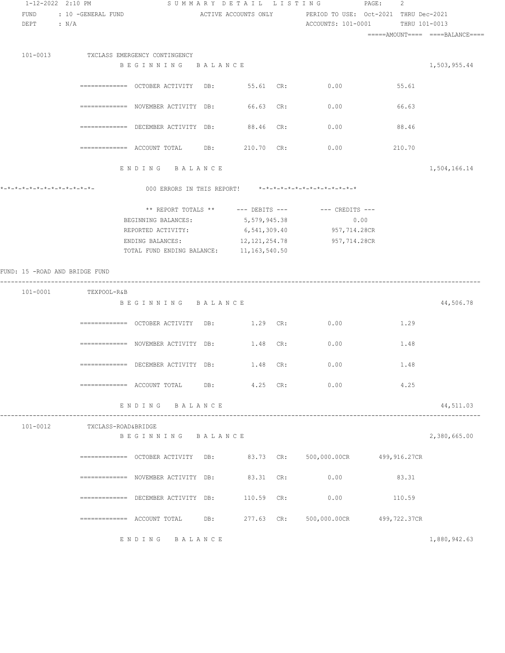| 1-12-2022 2:10 PM              |                      |                                                                           | SUMMARY DETAIL LISTING | $\texttt{PAGE}$ :                                                     | 2      |              |
|--------------------------------|----------------------|---------------------------------------------------------------------------|------------------------|-----------------------------------------------------------------------|--------|--------------|
| FUND                           | : 10 -GENERAL FUND   |                                                                           |                        | ACTIVE ACCOUNTS ONLY TERIOD TO USE: Oct-2021 THRU Dec-2021            |        |              |
| $DEF$ : $N/A$                  |                      |                                                                           |                        | ACCOUNTS: 101-0001 THRU 101-0013                                      |        |              |
|                                |                      |                                                                           |                        |                                                                       |        |              |
|                                |                      |                                                                           |                        |                                                                       |        |              |
|                                |                      | 101-0013 TXCLASS EMERGENCY CONTINGENCY                                    |                        |                                                                       |        |              |
|                                |                      | BEGINNING BALANCE                                                         |                        |                                                                       |        | 1,503,955.44 |
|                                |                      |                                                                           |                        |                                                                       |        |              |
|                                |                      | ============ OCTOBER ACTIVITY DB: 55.61 CR: 0.00                          |                        |                                                                       | 55.61  |              |
|                                |                      |                                                                           |                        |                                                                       |        |              |
|                                |                      | $\texttt{-----} \texttt{-----}$ NOVEMBER ACTIVITY DB: 66.63 CR:           |                        | 0.00                                                                  | 66.63  |              |
|                                |                      |                                                                           | 88.46 CR:              | 0.00                                                                  |        |              |
|                                |                      | $\equiv$ ============ DECEMBER ACTIVITY DB:                               |                        |                                                                       | 88.46  |              |
|                                |                      |                                                                           | 210.70 CR:             | 0.00                                                                  | 210.70 |              |
|                                |                      |                                                                           |                        |                                                                       |        |              |
|                                |                      | ENDING BALANCE                                                            |                        |                                                                       |        | 1,504,166.14 |
|                                |                      |                                                                           |                        |                                                                       |        |              |
| *-*-*-*-*-*-*-*-*-*-*-*-*-*-   |                      |                                                                           |                        | 000 ERRORS IN THIS REPORT! *-*-*-*-*-*-*-*-*-*-*-*-*-*-               |        |              |
|                                |                      |                                                                           |                        |                                                                       |        |              |
|                                |                      |                                                                           |                        | ** REPORT TOTALS ** --- DEBITS --- -- CREDITS ---                     |        |              |
|                                |                      | BEGINNING BALANCES: 5,579,945.38                                          |                        | 0.00                                                                  |        |              |
|                                |                      |                                                                           |                        | REPORTED ACTIVITY: 6,541,309.40 957,714.28CR                          |        |              |
|                                |                      | ENDING BALANCES:                                                          | 12, 121, 254.78        | 957,714.28CR                                                          |        |              |
|                                |                      | TOTAL FUND ENDING BALANCE: 11, 163, 540.50                                |                        |                                                                       |        |              |
| FUND: 15 -ROAD AND BRIDGE FUND |                      |                                                                           |                        |                                                                       |        |              |
|                                |                      |                                                                           |                        |                                                                       |        |              |
|                                | 101-0001 TEXPOOL-R&B |                                                                           |                        |                                                                       |        |              |
|                                |                      | BEGINNING BALANCE                                                         |                        |                                                                       |        | 44,506.78    |
|                                |                      |                                                                           |                        |                                                                       |        |              |
|                                |                      | ============ OCTOBER ACTIVITY DB: 1.29 CR: 0.00                           |                        |                                                                       | 1.29   |              |
|                                |                      |                                                                           |                        |                                                                       |        |              |
|                                |                      | $\texttt{-----} \texttt{-----}$ NOVEMBER ACTIVITY DB: $1.48 \text{ CR}$ : |                        | 0.00                                                                  | 1.48   |              |
|                                |                      |                                                                           |                        |                                                                       |        |              |
|                                |                      | $\texttt{-----}$ =========== DECEMBER ACTIVITY DB: $1.48$ CR:             |                        | 0.00                                                                  | 1.48   |              |
|                                |                      |                                                                           |                        |                                                                       | 4.25   |              |
|                                |                      |                                                                           |                        |                                                                       |        |              |
|                                |                      | ENDING BALANCE                                                            |                        |                                                                       |        | 44,511.03    |
|                                |                      |                                                                           |                        |                                                                       |        |              |
| 101-0012                       | TXCLASS-ROAD&BRIDGE  |                                                                           |                        |                                                                       |        |              |
|                                |                      | BEGINNING BALANCE                                                         |                        |                                                                       |        | 2,380,665.00 |
|                                |                      |                                                                           |                        |                                                                       |        |              |
|                                |                      |                                                                           |                        | ============ OCTOBER ACTIVITY DB: 83.73 CR: 500,000.00CR 499,916.27CR |        |              |
|                                |                      |                                                                           |                        |                                                                       |        |              |
|                                |                      | $\texttt{-----} \texttt{-----}$ NOVEMBER ACTIVITY DB: 83.31 CR:           |                        | 0.00                                                                  | 83.31  |              |
|                                |                      |                                                                           |                        |                                                                       |        |              |
|                                |                      | $\texttt{-----} \texttt{-----}$ DECEMBER ACTIVITY DB: $110.59$ CR:        |                        | 0.00                                                                  | 110.59 |              |
|                                |                      |                                                                           |                        |                                                                       |        |              |
|                                |                      |                                                                           |                        | 277.63 CR: 500,000.00CR 499,722.37CR                                  |        |              |
|                                |                      | ENDING BALANCE                                                            |                        |                                                                       |        | 1,880,942.63 |
|                                |                      |                                                                           |                        |                                                                       |        |              |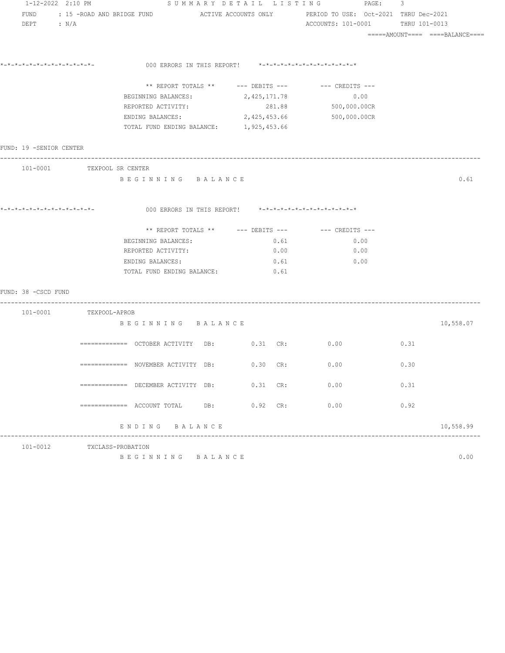| 1-12-2022 2:10 PM       |                            |                                                                                       |                                                         | SUMMARY DETAIL LISTING PAGE: 3 |                                 |      |
|-------------------------|----------------------------|---------------------------------------------------------------------------------------|---------------------------------------------------------|--------------------------------|---------------------------------|------|
| FUND                    |                            | : 15 -ROAD AND BRIDGE FUND ACTIVE ACCOUNTS ONLY PERIOD TO USE: Oct-2021 THRU Dec-2021 |                                                         |                                |                                 |      |
| DEPT : $N/A$            |                            |                                                                                       |                                                         | ACCOUNTS: 101-0001             | THRU 101-0013                   |      |
|                         |                            |                                                                                       |                                                         |                                | =====AMOUNT==== ====BALANCE==== |      |
|                         |                            |                                                                                       |                                                         |                                |                                 |      |
|                         |                            |                                                                                       | 000 ERRORS IN THIS REPORT! *-*-*-*-*-*-*-*-*-*-*-*-*-*- |                                |                                 |      |
|                         |                            |                                                                                       | ** REPORT TOTALS ** --- DEBITS --- -- CREDITS ---       |                                |                                 |      |
|                         |                            | BEGINNING BALANCES:                                                                   | 2,425,171.78                                            | 0.00                           |                                 |      |
|                         |                            | REPORTED ACTIVITY:                                                                    | 281.88                                                  | 500,000.00CR                   |                                 |      |
|                         |                            | ENDING BALANCES: 2,425,453.66 500,000.00CR                                            |                                                         |                                |                                 |      |
|                         |                            | TOTAL FUND ENDING BALANCE: 1, 925, 453.66                                             |                                                         |                                |                                 |      |
| FUND: 19 -SENIOR CENTER |                            |                                                                                       |                                                         |                                |                                 |      |
|                         | 101-0001 TEXPOOL SR CENTER |                                                                                       |                                                         |                                |                                 |      |
|                         |                            | BEGINNING BALANCE                                                                     |                                                         |                                |                                 | 0.61 |
|                         |                            |                                                                                       |                                                         |                                |                                 |      |
|                         |                            |                                                                                       | 000 ERRORS IN THIS REPORT! *-*-*-*-*-*-*-*-*-*-*-*-*-*- |                                |                                 |      |
|                         |                            |                                                                                       | ** REPORT TOTALS ** $---$ DEBITS --- $---$ CREDITS ---  |                                |                                 |      |
|                         |                            | BEGINNING BALANCES:                                                                   | 0.61                                                    | 0.00                           |                                 |      |
|                         |                            | REPORTED ACTIVITY:                                                                    | 0.00                                                    | 0.00                           |                                 |      |
|                         |                            | ENDING BALANCES:                                                                      | 0.61                                                    | 0.00                           |                                 |      |
|                         |                            | TOTAL FUND ENDING BALANCE:                                                            | 0.61                                                    |                                |                                 |      |
| FUND: 38 -CSCD FUND     |                            |                                                                                       |                                                         |                                |                                 |      |
|                         | 101-0001 TEXPOOL-APROB     |                                                                                       |                                                         |                                |                                 |      |
|                         |                            | BEGINNING BALANCE                                                                     |                                                         |                                | 10,558.07                       |      |
|                         |                            | $\texttt{-----}$ ============= OCTOBER ACTIVITY DB: $0.31 \text{ CR}$ :               |                                                         | 0.00                           | 0.31                            |      |
|                         |                            |                                                                                       |                                                         |                                |                                 |      |
|                         |                            | $\overline{\phantom{X}}$ ============== NOVEMBER ACTIVITY DB:                         | $0.30$ CR:                                              | 0.00                           | 0.30                            |      |
|                         |                            | $\texttt{-----} \texttt{-----}$ DECEMBER ACTIVITY DB: 0.31 CR:                        |                                                         | 0.00                           | 0.31                            |      |
|                         |                            |                                                                                       |                                                         |                                |                                 |      |
|                         |                            |                                                                                       | $0.92$ CR:                                              | 0.00                           | 0.92                            |      |
|                         |                            | ENDING BALANCE                                                                        |                                                         |                                | 10,558.99                       |      |
| 101-0012                |                            | TXCLASS-PROBATION                                                                     |                                                         |                                |                                 |      |
|                         |                            | BEGINNING BALANCE                                                                     |                                                         |                                |                                 | 0.00 |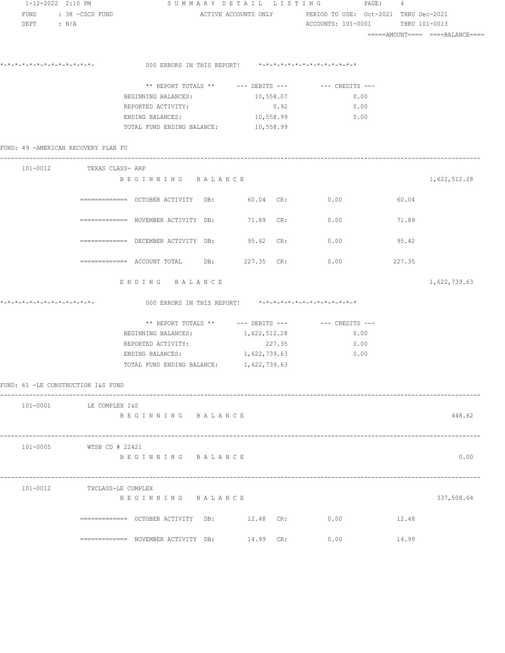| 1-12-2022 2:10 PM                       |                    |                                                  | SUMMARY DETAIL LISTING                                  | PAGE:                                                                                          | 4      |              |  |  |
|-----------------------------------------|--------------------|--------------------------------------------------|---------------------------------------------------------|------------------------------------------------------------------------------------------------|--------|--------------|--|--|
| FUND : 38 - CSCD FUND<br>$DEPT$ : $N/A$ |                    |                                                  |                                                         | ACTIVE ACCOUNTS ONLY PERIOD TO USE: Oct-2021 THRU Dec-2021<br>ACCOUNTS: 101-0001 THRU 101-0013 |        |              |  |  |
|                                         |                    |                                                  |                                                         |                                                                                                |        |              |  |  |
|                                         |                    |                                                  | 000 ERRORS IN THIS REPORT! *-*-*-*-*-*-*-*-*-*-*-*-*-*- |                                                                                                |        |              |  |  |
|                                         |                    |                                                  |                                                         | ** REPORT TOTALS ** --- DEBITS --- -- -- CREDITS ---                                           |        |              |  |  |
|                                         |                    | BEGINNING BALANCES:                              | 10,558.07                                               | 0.00                                                                                           |        |              |  |  |
|                                         |                    | REPORTED ACTIVITY:                               | 0.92                                                    | 0.00                                                                                           |        |              |  |  |
|                                         |                    | ENDING BALANCES: 10,558.99                       |                                                         | 0.00                                                                                           |        |              |  |  |
|                                         |                    | TOTAL FUND ENDING BALANCE: 10,558.99             |                                                         |                                                                                                |        |              |  |  |
| FUND: 49 -AMERICAN RECOVERY PLAN FU     |                    |                                                  |                                                         |                                                                                                |        |              |  |  |
| 101-0012 TEXAS CLASS- ARP               |                    |                                                  |                                                         |                                                                                                |        |              |  |  |
|                                         |                    | BEGINNING BALANCE                                |                                                         |                                                                                                |        | 1,622,512.28 |  |  |
|                                         |                    | ============ OCTOBER ACTIVITY DB: 60.04 CR: 0.00 |                                                         |                                                                                                | 60.04  |              |  |  |
|                                         |                    | ============= NOVEMBER ACTIVITY DB: 71.89 CR:    |                                                         | 0.00                                                                                           | 71.89  |              |  |  |
|                                         |                    | ============= DECEMBER ACTIVITY DB: 95.42 CR:    |                                                         | 0.00                                                                                           | 95.42  |              |  |  |
|                                         |                    | ============ ACCOUNT TOTAL DB: 227.35 CR:        |                                                         | 0.00                                                                                           | 227.35 |              |  |  |
|                                         |                    | ENDING BALANCE                                   |                                                         |                                                                                                |        | 1,622,739.63 |  |  |
|                                         |                    |                                                  | 000 ERRORS IN THIS REPORT! *-*-*-*-*-*-*-*-*-*-*-*-*-*- |                                                                                                |        |              |  |  |
|                                         |                    |                                                  |                                                         |                                                                                                |        |              |  |  |
|                                         |                    | BEGINNING BALANCES: 1, 622, 512.28               |                                                         | 0.00                                                                                           |        |              |  |  |
|                                         |                    | REPORTED ACTIVITY:                               | 227.35                                                  | 0.00                                                                                           |        |              |  |  |
|                                         |                    | ENDING BALANCES: 1, 622, 739.63                  |                                                         | 0.00                                                                                           |        |              |  |  |
|                                         |                    | TOTAL FUND ENDING BALANCE: 1, 622, 739.63        |                                                         |                                                                                                |        |              |  |  |
| FUND: 61 -LE CONSTRUCTION I&S FUND      |                    |                                                  |                                                         |                                                                                                |        |              |  |  |
| 101-0001 LE COMPLEX I&S                 |                    |                                                  |                                                         |                                                                                                |        |              |  |  |
|                                         |                    | BEGINNING BALANCE                                |                                                         |                                                                                                |        | 448.62       |  |  |
| 101-0005                                | WTSB CD # 22421    |                                                  |                                                         |                                                                                                |        |              |  |  |
|                                         |                    | BEGINNING BALANCE                                |                                                         |                                                                                                |        | 0.00         |  |  |
| 101-0012                                | TXCLASS-LE COMPLEX |                                                  |                                                         |                                                                                                |        |              |  |  |
|                                         |                    | BEGINNING BALANCE                                |                                                         |                                                                                                |        | 337,508.64   |  |  |
|                                         |                    |                                                  | 12.48 CR:                                               | 0.00                                                                                           | 12.48  |              |  |  |
|                                         |                    | ============ NOVEMBER ACTIVITY DB:               | 14.99 CR:                                               | 0.00                                                                                           | 14.99  |              |  |  |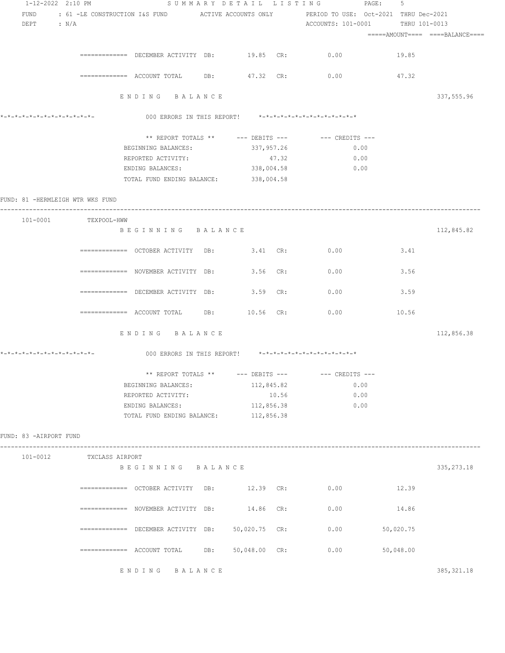| 1-12-2022 2:10 PM                |                          |                                                                   |               |       | SUMMARY DETAIL LISTING PAGE:                                                                                          | 5         |                                  |
|----------------------------------|--------------------------|-------------------------------------------------------------------|---------------|-------|-----------------------------------------------------------------------------------------------------------------------|-----------|----------------------------------|
| FUND                             |                          |                                                                   |               |       | : 61 -LE CONSTRUCTION I&S FUND           ACTIVE ACCOUNTS ONLY                 PERIOD TO USE:  Oct-2021  THRU Dec-2021 |           |                                  |
| $DEF$ : $N/A$                    |                          |                                                                   |               |       | ACCOUNTS: 101-0001 THRU 101-0013                                                                                      |           |                                  |
|                                  |                          |                                                                   |               |       |                                                                                                                       |           | =====AMOUNT====  ====BALANCE==== |
|                                  |                          |                                                                   |               |       |                                                                                                                       |           |                                  |
|                                  |                          |                                                                   |               |       | ============= DECEMBER ACTIVITY DB: 19.85 CR: 0.00                                                                    | 19.85     |                                  |
|                                  |                          |                                                                   |               |       |                                                                                                                       |           |                                  |
|                                  |                          |                                                                   |               |       | ============ ACCOUNT TOTAL DB: 47.32 CR: 0.00 47.32                                                                   |           |                                  |
|                                  |                          |                                                                   |               |       |                                                                                                                       |           |                                  |
|                                  |                          | ENDING BALANCE                                                    |               |       |                                                                                                                       |           | 337,555.96                       |
|                                  |                          |                                                                   |               |       |                                                                                                                       |           |                                  |
|                                  |                          |                                                                   |               |       | 000 ERRORS IN THIS REPORT! *-*-*-*-*-*-*-*-*-*-*-*-*-*-                                                               |           |                                  |
|                                  |                          |                                                                   |               |       | ** REPORT TOTALS ** --- DEBITS --- -- -- CREDITS ---                                                                  |           |                                  |
|                                  |                          | BEGINNING BALANCES:                                               | 337,957.26    |       | 0.00                                                                                                                  |           |                                  |
|                                  |                          | REPORTED ACTIVITY:                                                |               | 47.32 | 0.00                                                                                                                  |           |                                  |
|                                  |                          | ENDING BALANCES:                                                  | 338,004.58    |       | 0.00                                                                                                                  |           |                                  |
|                                  |                          |                                                                   |               |       |                                                                                                                       |           |                                  |
|                                  |                          | TOTAL FUND ENDING BALANCE: 338,004.58                             |               |       |                                                                                                                       |           |                                  |
| FUND: 81 -HERMLEIGH WTR WKS FUND |                          |                                                                   |               |       |                                                                                                                       |           |                                  |
|                                  |                          |                                                                   |               |       |                                                                                                                       |           |                                  |
|                                  | 101-0001 TEXPOOL-HWW     |                                                                   |               |       |                                                                                                                       |           |                                  |
|                                  |                          | BEGINNING BALANCE                                                 |               |       |                                                                                                                       |           | 112,845.82                       |
|                                  |                          |                                                                   |               |       |                                                                                                                       |           |                                  |
|                                  |                          |                                                                   |               |       | ============= OCTOBER ACTIVITY DB: 3.41 CR: 0.00                                                                      | 3.41      |                                  |
|                                  |                          |                                                                   |               |       |                                                                                                                       |           |                                  |
|                                  |                          | ============ NOVEMBER ACTIVITY DB: 3.56 CR:                       |               |       | 0.00                                                                                                                  | 3.56      |                                  |
|                                  |                          |                                                                   |               |       |                                                                                                                       |           |                                  |
|                                  |                          | ============ DECEMBER ACTIVITY DB: 3.59 CR:                       |               |       | 0.00                                                                                                                  | 3.59      |                                  |
|                                  |                          |                                                                   |               |       |                                                                                                                       |           |                                  |
|                                  |                          | $\overline{\phantom{z}}$ ============ ACCOUNT TOTAL DB: 10.56 CR: |               |       | 0.00                                                                                                                  | 10.56     |                                  |
|                                  |                          |                                                                   |               |       |                                                                                                                       |           |                                  |
|                                  |                          | ENDING BALANCE                                                    |               |       |                                                                                                                       |           | 112,856.38                       |
|                                  |                          |                                                                   |               |       |                                                                                                                       |           |                                  |
| *-*-*-*-*-*-*-*-*-*-*-*-*-*-     |                          |                                                                   |               |       | 000 ERRORS IN THIS REPORT! *-*-*-*-*-*-*-*-*-*-*-*-*-*-                                                               |           |                                  |
|                                  |                          |                                                                   |               |       |                                                                                                                       |           |                                  |
|                                  |                          | ** REPORT TOTALS ** $---$ DEBITS $---$                            |               |       | $---$ CREDITS $---$                                                                                                   |           |                                  |
|                                  |                          | BEGINNING BALANCES:                                               | 112,845.82    |       | 0.00                                                                                                                  |           |                                  |
|                                  |                          | REPORTED ACTIVITY:                                                |               | 10.56 | 0.00                                                                                                                  |           |                                  |
|                                  |                          | ENDING BALANCES:                                                  | 112,856.38    |       | 0.00                                                                                                                  |           |                                  |
|                                  |                          | TOTAL FUND ENDING BALANCE: 112,856.38                             |               |       |                                                                                                                       |           |                                  |
| FUND: 83 -AIRPORT FUND           |                          |                                                                   |               |       |                                                                                                                       |           |                                  |
|                                  |                          |                                                                   |               |       |                                                                                                                       |           |                                  |
|                                  | 101-0012 TXCLASS AIRPORT |                                                                   |               |       |                                                                                                                       |           |                                  |
|                                  |                          | BEGINNING BALANCE                                                 |               |       |                                                                                                                       |           | 335, 273.18                      |
|                                  |                          |                                                                   |               |       |                                                                                                                       |           |                                  |
|                                  |                          | ============= OCTOBER ACTIVITY DB: 12.39 CR:                      |               |       | 0.00                                                                                                                  | 12.39     |                                  |
|                                  |                          |                                                                   |               |       |                                                                                                                       |           |                                  |
|                                  |                          | ============ NOVEMBER ACTIVITY DB:                                | 14.86 CR:     |       | 0.00                                                                                                                  | 14.86     |                                  |
|                                  |                          |                                                                   |               |       |                                                                                                                       |           |                                  |
|                                  |                          | $\overline{\phantom{z}}$ ============ DECEMBER ACTIVITY DB:       | 50,020.75 CR: |       | 0.00                                                                                                                  | 50,020.75 |                                  |
|                                  |                          |                                                                   |               |       |                                                                                                                       |           |                                  |
|                                  |                          | ============= ACCOUNT TOTAL DB:                                   | 50,048.00 CR: |       | 0.00                                                                                                                  | 50,048.00 |                                  |
|                                  |                          |                                                                   |               |       |                                                                                                                       |           |                                  |
|                                  |                          | ENDING BALANCE                                                    |               |       |                                                                                                                       |           | 385, 321.18                      |